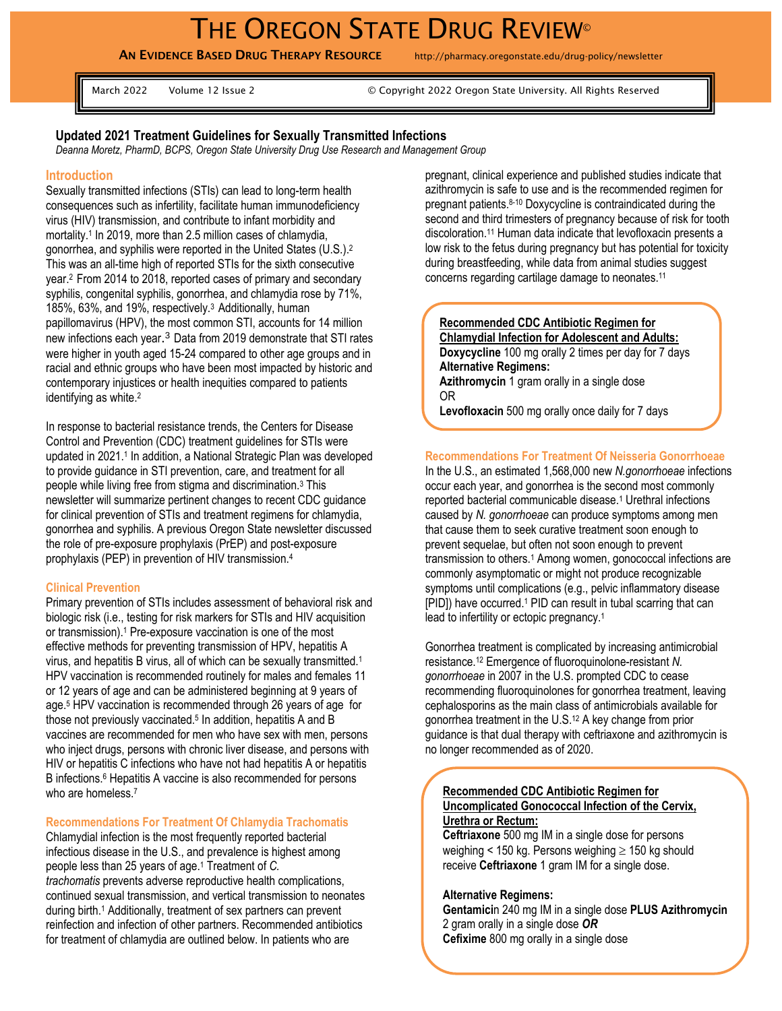# THE OREGON STATE DRUG REVIEW®

AN EVIDENCE BASED DRUG THERAPY RESOURCE http://pharmacy.oregonstate.edu/drug-policy/newsletter

March 2022 Volume 12 Issue 2 © Copyright 2022 Oregon State University. All Rights Reserved

## **Updated 2021 Treatment Guidelines for Sexually Transmitted Infections**

*Deanna Moretz, PharmD, BCPS, Oregon State University Drug Use Research and Management Group*

#### **Introduction**

Sexually transmitted infections (STIs) can lead to long-term health consequences such as infertility, facilitate human immunodeficiency virus (HIV) transmission, and contribute to infant morbidity and mortality.<sup>1</sup> In 2019, more than 2.5 million cases of chlamydia, gonorrhea, and syphilis were reported in the United States (U.S.).<sup>2</sup> This was an all-time high of reported STIs for the sixth consecutive year.<sup>2</sup> From 2014 to 2018, reported cases of primary and secondary syphilis, congenital syphilis, gonorrhea, and chlamydia rose by 71%, 185%, 63%, and 19%, respectively.<sup>3</sup> Additionally, human papillomavirus (HPV), the most common STI, accounts for 14 million new infections each year.<sup>3</sup> Data from 2019 demonstrate that STI rates were higher in youth aged 15-24 compared to other age groups and in racial and ethnic groups who have been most impacted by historic and contemporary injustices or health inequities compared to patients identifying as white.<sup>2</sup>

In response to bacterial resistance trends, the Centers for Disease Control and Prevention (CDC) treatment guidelines for STIs were updated in 2021.<sup>1</sup> In addition, a National Strategic Plan was developed to provide guidance in STI prevention, care, and treatment for all people while living free from stigma and discrimination.<sup>3</sup> This newsletter will summarize pertinent changes to recent CDC guidance for clinical prevention of STIs and treatment regimens for chlamydia, gonorrhea and syphilis. A previous Oregon State newsletter discussed the role of pre-exposure prophylaxis (PrEP) and post-exposure prophylaxis (PEP) in prevention of HIV transmission.<sup>4</sup>

#### **Clinical Prevention**

Primary prevention of STIs includes assessment of behavioral risk and biologic risk (i.e., testing for risk markers for STIs and HIV acquisition or transmission).<sup>1</sup> Pre-exposure vaccination is one of the most effective methods for preventing transmission of HPV, hepatitis A virus, and hepatitis B virus, all of which can be sexually transmitted.<sup>1</sup> HPV vaccination is recommended routinely for males and females 11 or 12 years of age and can be administered beginning at 9 years of age. <sup>5</sup> HPV vaccination is recommended through 26 years of age for those not previously vaccinated. 5 In addition, hepatitis A and B vaccines are recommended for men who have sex with men, persons who inject drugs, persons with chronic liver disease, and persons with HIV or hepatitis C infections who have not had hepatitis A or hepatitis B infections. <sup>6</sup> Hepatitis A vaccine is also recommended for persons who are homeless. 7

# **Recommendations For Treatment Of Chlamydia Trachomatis**

Chlamydial infection is the most frequently reported bacterial infectious disease in the U.S., and prevalence is highest among people less than 25 years of age. <sup>1</sup> Treatment of *C. trachomatis* prevents adverse reproductive health complications, continued sexual transmission, and vertical transmission to neonates during birth. <sup>1</sup> Additionally, treatment of sex partners can prevent reinfection and infection of other partners. Recommended antibiotics for treatment of chlamydia are outlined below. In patients who are

pregnant, clinical experience and published studies indicate that azithromycin is safe to use and is the recommended regimen for pregnant patients. 8-10 Doxycycline is contraindicated during the second and third trimesters of pregnancy because of risk for tooth discoloration.<sup>11</sup> Human data indicate that levofloxacin presents a low risk to the fetus during pregnancy but has potential for toxicity during breastfeeding, while data from animal studies suggest concerns regarding cartilage damage to neonates.<sup>11</sup>

#### **Recommended CDC Antibiotic Regimen for Chlamydial Infection for Adolescent and Adults:**

**Doxycycline** 100 mg orally 2 times per day for 7 days **Alternative Regimens:**

**Azithromycin** 1 gram orally in a single dose OR

**Levofloxacin** 500 mg orally once daily for 7 days

### **Recommendations For Treatment Of Neisseria Gonorrhoeae**

In the U.S., an estimated 1,568,000 new *N.gonorrhoeae* infections occur each year, and gonorrhea is the second most commonly reported bacterial communicable disease.<sup>1</sup> Urethral infections caused by *N. gonorrhoeae* can produce symptoms among men that cause them to seek curative treatment soon enough to prevent sequelae, but often not soon enough to prevent transmission to others.<sup>1</sup> Among women, gonococcal infections are commonly asymptomatic or might not produce recognizable symptoms until complications (e.g., pelvic inflammatory disease [PID]) have occurred.<sup>1</sup> PID can result in tubal scarring that can lead to infertility or ectopic pregnancy.<sup>1</sup>

Gonorrhea treatment is complicated by increasing antimicrobial resistance. <sup>12</sup> Emergence of fluoroquinolone-resistant *N. gonorrhoeae* in 2007 in the U.S. prompted CDC to cease recommending fluoroquinolones for gonorrhea treatment, leaving cephalosporins as the main class of antimicrobials available for gonorrhea treatment in the U.S. <sup>12</sup> A key change from prior guidance is that dual therapy with ceftriaxone and azithromycin is no longer recommended as of 2020.

#### **Recommended CDC Antibiotic Regimen for Uncomplicated Gonococcal Infection of the Cervix, Urethra or Rectum:**

**Ceftriaxone** 500 mg IM in a single dose for persons weighing < 150 kg. Persons weighing  $\geq$  150 kg should receive **Ceftriaxone** 1 gram IM for a single dose.

## **Alternative Regimens:**

**Gentamici**n 240 mg IM in a single dose **PLUS Azithromycin** 2 gram orally in a single dose *OR* **Cefixime** 800 mg orally in a single dose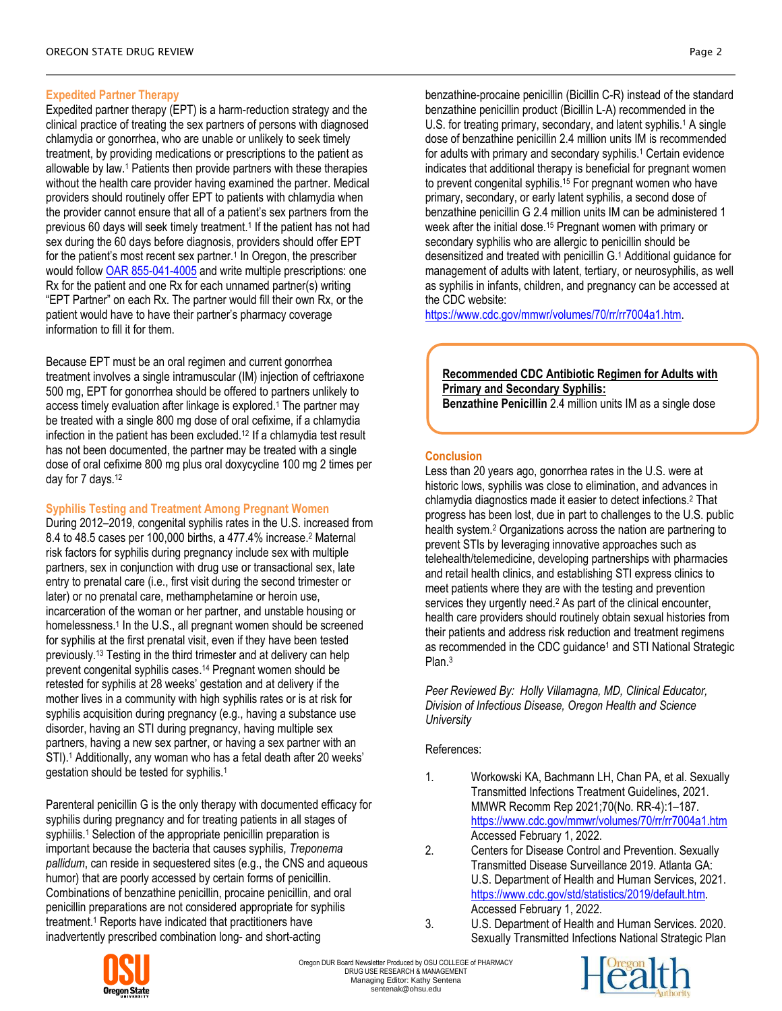# **Expedited Partner Therapy**

Expedited partner therapy (EPT) is a harm-reduction strategy and the clinical practice of treating the sex partners of persons with diagnosed chlamydia or gonorrhea, who are unable or unlikely to seek timely treatment, by providing medications or prescriptions to the patient as allowable by law.<sup>1</sup> Patients then provide partners with these therapies without the health care provider having examined the partner. Medical providers should routinely offer EPT to patients with chlamydia when the provider cannot ensure that all of a patient's sex partners from the previous 60 days will seek timely treatment.<sup>1</sup> If the patient has not had sex during the 60 days before diagnosis, providers should offer EPT for the patient's most recent sex partner.<sup>1</sup> In Oregon, the prescriber would follow [OAR 855-041-4005](https://urldefense.com/v3/__https:/secure.sos.state.or.us/oard/displayDivisionRules.action?selectedDivision=3975__;!!Mi0JBg!axmEp2qqZlclPuBsfGbTEcc7atYFJ9C1Fv0660VbEYBLqPMOJS5294ve4CwwoNQ$) and write multiple prescriptions: one Rx for the patient and one Rx for each unnamed partner(s) writing "EPT Partner" on each Rx. The partner would fill their own Rx, or the patient would have to have their partner's pharmacy coverage information to fill it for them.

Because EPT must be an oral regimen and current gonorrhea treatment involves a single intramuscular (IM) injection of ceftriaxone 500 mg, EPT for gonorrhea should be offered to partners unlikely to access timely evaluation after linkage is explored. <sup>1</sup> The partner may be treated with a single 800 mg dose of oral cefixime, if a chlamydia infection in the patient has been excluded.<sup>12</sup> If a chlamydia test result has not been documented, the partner may be treated with a single dose of oral cefixime 800 mg plus oral doxycycline 100 mg 2 times per day for 7 days.<sup>12</sup>

# **Syphilis Testing and Treatment Among Pregnant Women**

During 2012–2019, congenital syphilis rates in the U.S. increased from 8.4 to 48.5 cases per 100,000 births, a 477.4% increase.<sup>2</sup> Maternal risk factors for syphilis during pregnancy include sex with multiple partners, sex in conjunction with drug use or transactional sex, late entry to prenatal care (i.e., first visit during the second trimester or later) or no prenatal care, methamphetamine or heroin use, incarceration of the woman or her partner, and unstable housing or homelessness.<sup>1</sup> In the U.S., all pregnant women should be screened for syphilis at the first prenatal visit, even if they have been tested previously.<sup>13</sup> Testing in the third trimester and at delivery can help prevent congenital syphilis cases.<sup>14</sup> Pregnant women should be retested for syphilis at 28 weeks' gestation and at delivery if the mother lives in a community with high syphilis rates or is at risk for syphilis acquisition during pregnancy (e.g., having a substance use disorder, having an STI during pregnancy, having multiple sex partners, having a new sex partner, or having a sex partner with an STI).<sup>1</sup> Additionally, any woman who has a fetal death after 20 weeks' gestation should be tested for syphilis.<sup>1</sup>

Parenteral penicillin G is the only therapy with documented efficacy for syphilis during pregnancy and for treating patients in all stages of syphiilis.<sup>1</sup> Selection of the appropriate penicillin preparation is important because the bacteria that causes syphilis, *Treponema pallidum*, can reside in sequestered sites (e.g., the CNS and aqueous humor) that are poorly accessed by certain forms of penicillin. Combinations of benzathine penicillin, procaine penicillin, and oral penicillin preparations are not considered appropriate for syphilis treatment.<sup>1</sup> Reports have indicated that practitioners have inadvertently prescribed combination long- and short-acting

benzathine-procaine penicillin (Bicillin C-R) instead of the standard benzathine penicillin product (Bicillin L-A) recommended in the U.S. for treating primary, secondary, and latent syphilis.<sup>1</sup> A single dose of benzathine penicillin 2.4 million units IM is recommended for adults with primary and secondary syphilis.<sup>1</sup> Certain evidence indicates that additional therapy is beneficial for pregnant women to prevent congenital syphilis.<sup>15</sup> For pregnant women who have primary, secondary, or early latent syphilis, a second dose of benzathine penicillin G 2.4 million units IM can be administered 1 week after the initial dose.<sup>15</sup> Pregnant women with primary or secondary syphilis who are allergic to penicillin should be desensitized and treated with penicillin G.<sup>1</sup> Additional guidance for management of adults with latent, tertiary, or neurosyphilis, as well as syphilis in infants, children, and pregnancy can be accessed at the CDC website:

[https://www.cdc.gov/mmwr/volumes/70/rr/rr7004a1.htm.](https://www.cdc.gov/mmwr/volumes/70/rr/rr7004a1.htm)

**Recommended CDC Antibiotic Regimen for Adults with Primary and Secondary Syphilis: Benzathine Penicillin** 2.4 million units IM as a single dose

# **Conclusion**

Less than 20 years ago, gonorrhea rates in the U.S. were at historic lows, syphilis was close to elimination, and advances in chlamydia diagnostics made it easier to detect infections.<sup>2</sup> That progress has been lost, due in part to challenges to the U.S. public health system.<sup>2</sup> Organizations across the nation are partnering to prevent STIs by leveraging innovative approaches such as telehealth/telemedicine, developing partnerships with pharmacies and retail health clinics, and establishing STI express clinics to meet patients where they are with the testing and prevention services they urgently need.<sup>2</sup> As part of the clinical encounter, health care providers should routinely obtain sexual histories from their patients and address risk reduction and treatment regimens as recommended in the CDC guidance<sup>1</sup> and STI National Strategic Plan.<sup>3</sup>

*Peer Reviewed By: Holly Villamagna, MD, Clinical Educator, Division of Infectious Disease, Oregon Health and Science University*

## References:

- 1. Workowski KA, Bachmann LH, Chan PA, et al. Sexually Transmitted Infections Treatment Guidelines, 2021. MMWR Recomm Rep 2021;70(No. RR-4):1–187. <https://www.cdc.gov/mmwr/volumes/70/rr/rr7004a1.htm> Accessed February 1, 2022.
- 2. Centers for Disease Control and Prevention. Sexually Transmitted Disease Surveillance 2019. Atlanta GA: U.S. Department of Health and Human Services, 2021. [https://www.cdc.gov/std/statistics/2019/default.htm.](https://www.cdc.gov/std/statistics/2019/default.htm)  Accessed February 1, 2022.
- 3. U.S. Department of Health and Human Services. 2020. Sexually Transmitted Infections National Strategic Plan